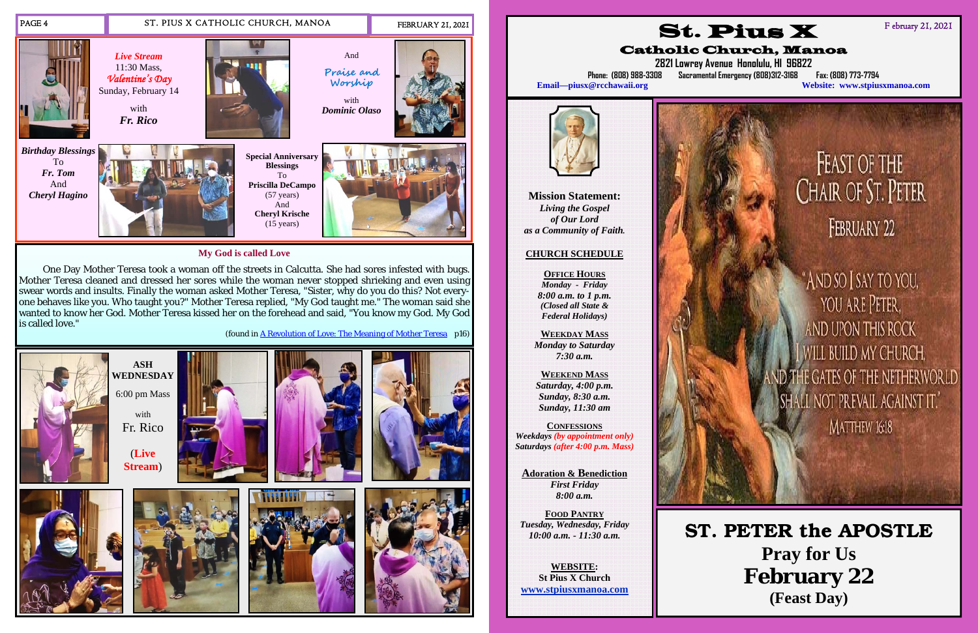

**My God is called Love** 

One Day Mother Teresa took a woman off the streets in Calcutta. She had sores infested with bugs. Mother Teresa cleaned and dressed her sores while the woman never stopped shrieking and even using swear words and insults. Finally the woman asked Mother Teresa, "Sister, why do you do this? Not everyone behaves like you. Who taught you?" Mother Teresa replied, "My God taught me." The woman said she wanted to know her God. Mother Teresa kissed her on the forehead and said, "You know my God. My God is called love."



(found in A Revolution of Love: The Meaning of Mother Teresa p16)

**Mission Statement:**  *Living the Gospel of Our Lord as a Community of Faith.* 

## **CHURCH SCHEDULE**

**OFFICE HOURS***Monday - Friday 8:00 a.m. to 1 p.m. (Closed all State & Federal Holidays)* 

**WEEKDAY MASS** *Monday to Saturday 7:30 a.m.* 

**WEEKEND MASS***Saturday, 4:00 p.m. Sunday, 8:30 a.m. Sunday, 11:30 am* 

**CONFESSIONS***Weekdays (by appointment only) Saturdays (after 4:00 p.m. Mass)* 

**Adoration & Benediction**  *First Friday 8:00 a.m.* 

**FOOD PANTRY***Tuesday, Wednesday, Friday 10:00 a.m. - 11:30 a.m.* 

**WEBSITE: St Pius X Church www.stpiusxmanoa.com** 



**2821 Lowrey Avenue Honolulu, HI 96822 Phone: (808) 988-3308 Sacramental Emergency (808)312-3168 Fax: (808) 773-7794** 

FEAST OF THE<br>CHAIR OF ST. PETER FEBRUARY 22

"And so I say to you, YOU ARE PETER. AND UPON THIS ROCK WILL BUILD MY CHURCH, **IE GATES OF THE NETHERWORLD** ALL NOT PREVAIL AGAINST IT." MATTHEW 16:18

St. Pius X Catholic Church, Manoa **Email—piusx@rcchawaii.org Website: www.stpiusxmanoa.com**



F ebruary 21, 2021

**ST. PETER the APOSTLE Pray for Us February 22 (Feast Day)**